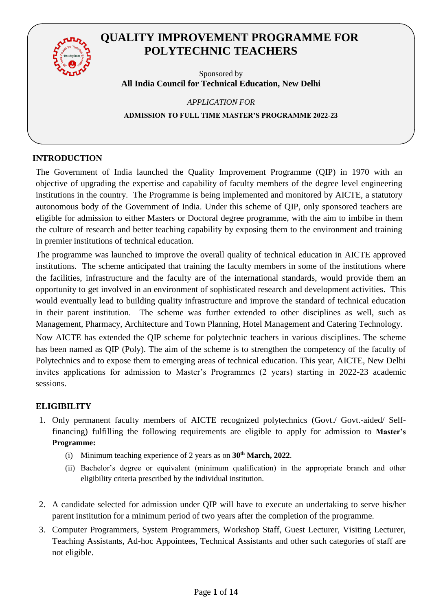

## **QUALITY IMPROVEMENT PROGRAMME FOR POLYTECHNIC TEACHERS**

Sponsored by **All India Council for Technical Education, New Delhi**

*APPLICATION FOR*  **ADMISSION TO FULL TIME MASTER'S PROGRAMME 2022-23**

## **INTRODUCTION**

The Government of India launched the Quality Improvement Programme (QIP) in 1970 with an objective of upgrading the expertise and capability of faculty members of the degree level engineering institutions in the country. The Programme is being implemented and monitored by AICTE, a statutory autonomous body of the Government of India. Under this scheme of QIP, only sponsored teachers are eligible for admission to either Masters or Doctoral degree programme, with the aim to imbibe in them the culture of research and better teaching capability by exposing them to the environment and training in premier institutions of technical education.

The programme was launched to improve the overall quality of technical education in AICTE approved institutions. The scheme anticipated that training the faculty members in some of the institutions where the facilities, infrastructure and the faculty are of the international standards, would provide them an opportunity to get involved in an environment of sophisticated research and development activities. This would eventually lead to building quality infrastructure and improve the standard of technical education in their parent institution. The scheme was further extended to other disciplines as well, such as Management, Pharmacy, Architecture and Town Planning, Hotel Management and Catering Technology.

Now AICTE has extended the QIP scheme for polytechnic teachers in various disciplines. The scheme has been named as QIP (Poly). The aim of the scheme is to strengthen the competency of the faculty of Polytechnics and to expose them to emerging areas of technical education. This year, AICTE, New Delhi invites applications for admission to Master's Programmes (2 years) starting in 2022-23 academic sessions.

## **ELIGIBILITY**

- 1. Only permanent faculty members of AICTE recognized polytechnics (Govt./ Govt.-aided/ Selffinancing) fulfilling the following requirements are eligible to apply for admission to **Master's Programme:**
	- (i) Minimum teaching experience of 2 years as on **30th March, 2022**.
	- (ii) Bachelor's degree or equivalent (minimum qualification) in the appropriate branch and other eligibility criteria prescribed by the individual institution.
- 2. A candidate selected for admission under QIP will have to execute an undertaking to serve his/her parent institution for a minimum period of two years after the completion of the programme.
- 3. Computer Programmers, System Programmers, Workshop Staff, Guest Lecturer, Visiting Lecturer, Teaching Assistants, Ad-hoc Appointees, Technical Assistants and other such categories of staff are not eligible.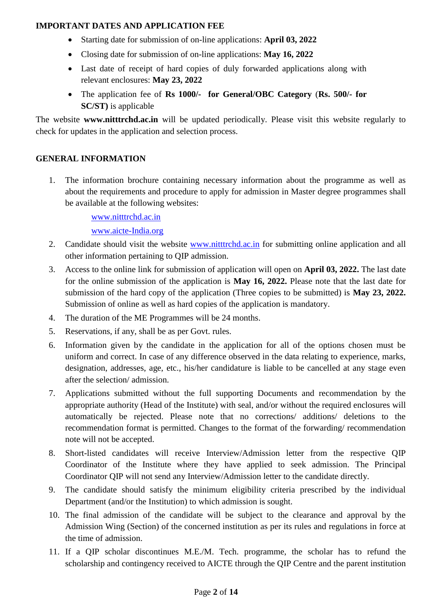#### **IMPORTANT DATES AND APPLICATION FEE**

- Starting date for submission of on-line applications: **April 03, 2022**
- Closing date for submission of on-line applications: **May 16, 2022**
- Last date of receipt of hard copies of duly forwarded applications along with relevant enclosures: **May 23, 2022**
- The application fee of **Rs 1000/- for General/OBC Category** (**Rs. 500/- for SC/ST)** is applicable

The website **www.nitttrchd.ac.in** will be updated periodically. Please visit this website regularly to check for updates in the application and selection process.

## **GENERAL INFORMATION**

1. The information brochure containing necessary information about the programme as well as about the requirements and procedure to apply for admission in Master degree programmes shall be available at the following websites:

www.nitttrchd.ac.in

www.aicte-India.org

- 2. Candidate should visit the website [www.nitttrchd.ac.in](http://www.nitttrchd.ac.in/) for submitting online application and all other information pertaining to QIP admission.
- 3. Access to the online link for submission of application will open on **April 03, 2022.** The last date for the online submission of the application is **May 16, 2022.** Please note that the last date for submission of the hard copy of the application (Three copies to be submitted) is **May 23, 2022.** Submission of online as well as hard copies of the application is mandatory.
- 4. The duration of the ME Programmes will be 24 months.
- 5. Reservations, if any, shall be as per Govt. rules.
- 6. Information given by the candidate in the application for all of the options chosen must be uniform and correct. In case of any difference observed in the data relating to experience, marks, designation, addresses, age, etc., his/her candidature is liable to be cancelled at any stage even after the selection/ admission.
- 7. Applications submitted without the full supporting Documents and recommendation by the appropriate authority (Head of the Institute) with seal, and/or without the required enclosures will automatically be rejected. Please note that no corrections/ additions/ deletions to the recommendation format is permitted. Changes to the format of the forwarding/ recommendation note will not be accepted.
- 8. Short-listed candidates will receive Interview/Admission letter from the respective QIP Coordinator of the Institute where they have applied to seek admission. The Principal Coordinator QIP will not send any Interview/Admission letter to the candidate directly.
- 9. The candidate should satisfy the minimum eligibility criteria prescribed by the individual Department (and/or the Institution) to which admission is sought.
- 10. The final admission of the candidate will be subject to the clearance and approval by the Admission Wing (Section) of the concerned institution as per its rules and regulations in force at the time of admission.
- 11. If a QIP scholar discontinues M.E./M. Tech. programme, the scholar has to refund the scholarship and contingency received to AICTE through the QIP Centre and the parent institution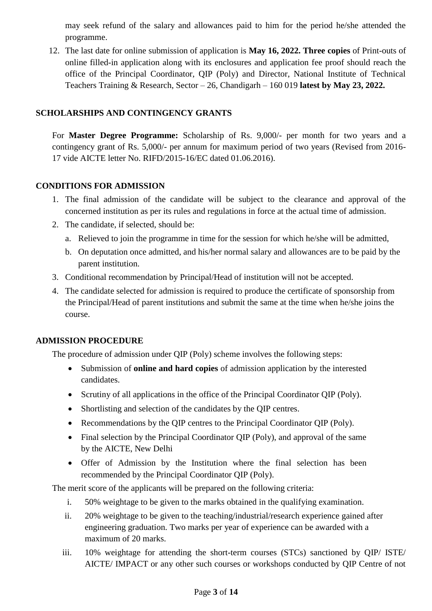may seek refund of the salary and allowances paid to him for the period he/she attended the programme.

12. The last date for online submission of application is **May 16, 2022. Three copies** of Print-outs of online filled-in application along with its enclosures and application fee proof should reach the office of the Principal Coordinator, QIP (Poly) and Director, National Institute of Technical Teachers Training & Research, Sector – 26, Chandigarh – 160 019 **latest by May 23, 2022.**

### **SCHOLARSHIPS AND CONTINGENCY GRANTS**

For **Master Degree Programme:** Scholarship of Rs. 9,000/- per month for two years and a contingency grant of Rs. 5,000/- per annum for maximum period of two years (Revised from 2016- 17 vide AICTE letter No. RIFD/2015-16/EC dated 01.06.2016).

#### **CONDITIONS FOR ADMISSION**

- 1. The final admission of the candidate will be subject to the clearance and approval of the concerned institution as per its rules and regulations in force at the actual time of admission.
- 2. The candidate, if selected, should be:
	- a. Relieved to join the programme in time for the session for which he/she will be admitted,
	- b. On deputation once admitted, and his/her normal salary and allowances are to be paid by the parent institution.
- 3. Conditional recommendation by Principal/Head of institution will not be accepted.
- 4. The candidate selected for admission is required to produce the certificate of sponsorship from the Principal/Head of parent institutions and submit the same at the time when he/she joins the course.

## **ADMISSION PROCEDURE**

The procedure of admission under QIP (Poly) scheme involves the following steps:

- Submission of **online and hard copies** of admission application by the interested candidates.
- Scrutiny of all applications in the office of the Principal Coordinator QIP (Poly).
- Shortlisting and selection of the candidates by the QIP centres.
- Recommendations by the QIP centres to the Principal Coordinator QIP (Poly).
- Final selection by the Principal Coordinator QIP (Poly), and approval of the same by the AICTE, New Delhi
- Offer of Admission by the Institution where the final selection has been recommended by the Principal Coordinator QIP (Poly).

The merit score of the applicants will be prepared on the following criteria:

- i. 50% weightage to be given to the marks obtained in the qualifying examination.
- ii. 20% weightage to be given to the teaching/industrial/research experience gained after engineering graduation. Two marks per year of experience can be awarded with a maximum of 20 marks.
- iii. 10% weightage for attending the short-term courses (STCs) sanctioned by QIP/ ISTE/ AICTE/ IMPACT or any other such courses or workshops conducted by QIP Centre of not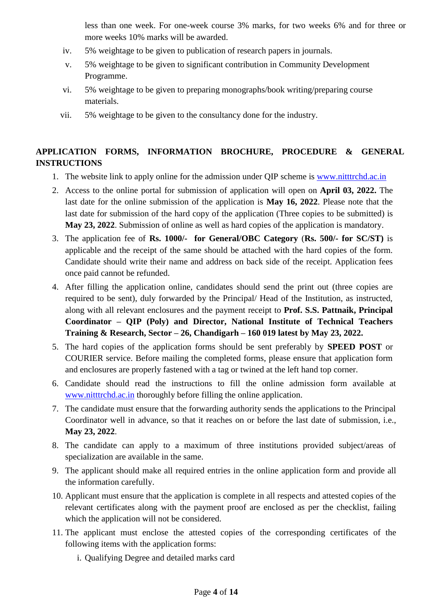less than one week. For one-week course 3% marks, for two weeks 6% and for three or more weeks 10% marks will be awarded.

- iv. 5% weightage to be given to publication of research papers in journals.
- v. 5% weightage to be given to significant contribution in Community Development Programme.
- vi. 5% weightage to be given to preparing monographs/book writing/preparing course materials.
- vii. 5% weightage to be given to the consultancy done for the industry.

## **APPLICATION FORMS, INFORMATION BROCHURE, PROCEDURE & GENERAL INSTRUCTIONS**

- 1. The website link to apply online for the admission under QIP scheme is [www.nitttrchd.ac.in](http://www.nitttrchd.ac.in/)
- 2. Access to the online portal for submission of application will open on **April 03, 2022.** The last date for the online submission of the application is **May 16, 2022**. Please note that the last date for submission of the hard copy of the application (Three copies to be submitted) is **May 23, 2022**. Submission of online as well as hard copies of the application is mandatory.
- 3. The application fee of **Rs. 1000/- for General/OBC Category** (**Rs. 500/- for SC/ST)** is applicable and the receipt of the same should be attached with the hard copies of the form. Candidate should write their name and address on back side of the receipt. Application fees once paid cannot be refunded.
- 4. After filling the application online, candidates should send the print out (three copies are required to be sent), duly forwarded by the Principal/ Head of the Institution, as instructed, along with all relevant enclosures and the payment receipt to **Prof. S.S. Pattnaik, Principal Coordinator – QIP (Poly) and Director, National Institute of Technical Teachers Training & Research, Sector – 26, Chandigarh – 160 019 latest by May 23, 2022.**
- 5. The hard copies of the application forms should be sent preferably by **SPEED POST** or COURIER service. Before mailing the completed forms, please ensure that application form and enclosures are properly fastened with a tag or twined at the left hand top corner.
- 6. Candidate should read the instructions to fill the online admission form available at [www.nitttrchd.ac.in](http://www.nitttrchd.ac.in/) thoroughly before filling the online application.
- 7. The candidate must ensure that the forwarding authority sends the applications to the Principal Coordinator well in advance, so that it reaches on or before the last date of submission, i.e., **May 23, 2022**.
- 8. The candidate can apply to a maximum of three institutions provided subject/areas of specialization are available in the same.
- 9. The applicant should make all required entries in the online application form and provide all the information carefully.
- 10. Applicant must ensure that the application is complete in all respects and attested copies of the relevant certificates along with the payment proof are enclosed as per the checklist, failing which the application will not be considered.
- 11. The applicant must enclose the attested copies of the corresponding certificates of the following items with the application forms:
	- i. Qualifying Degree and detailed marks card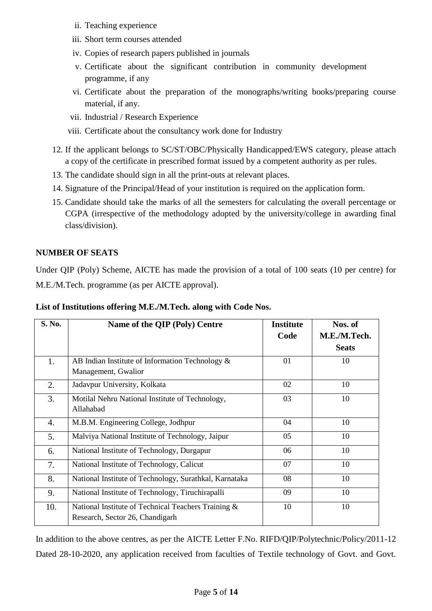- ii. Teaching experience
- iii. Short term courses attended
- iv. Copies of research papers published in journals
- v. Certificate about the significant contribution in community development programme, if any
- vi. Certificate about the preparation of the monographs/writing books/preparing course material, if any.
- vii. Industrial / Research Experience
- viii. Certificate about the consultancy work done for Industry
- 12. If the applicant belongs to SC/ST/OBC/Physically Handicapped/EWS category, please attach a copy of the certificate in prescribed format issued by a competent authority as per rules.
- 13. The candidate should sign in all the print-outs at relevant places.
- 14. Signature of the Principal/Head of your institution is required on the application form.
- 15. Candidate should take the marks of all the semesters for calculating the overall percentage or CGPA (irrespective of the methodology adopted by the university/college in awarding final class/division).

## **NUMBER OF SEATS**

Under QIP (Poly) Scheme, AICTE has made the provision of a total of 100 seats (10 per centre) for M.E./M.Tech. programme (as per AICTE approval).

| S. No. | Name of the QIP (Poly) Centre                          | <b>Institute</b> | Nos. of      |
|--------|--------------------------------------------------------|------------------|--------------|
|        |                                                        | Code             | M.E./M.Tech. |
|        |                                                        |                  | <b>Seats</b> |
| 1.     | AB Indian Institute of Information Technology $\&$     | 01               | 10           |
|        | Management, Gwalior                                    |                  |              |
| 2.     | Jadavpur University, Kolkata                           | 02               | 10           |
| 3.     | Motilal Nehru National Institute of Technology,        | 03               | 10           |
|        | Allahabad                                              |                  |              |
| 4.     | M.B.M. Engineering College, Jodhpur                    | 04               | 10           |
| 5.     | Malviya National Institute of Technology, Jaipur       | 05               | 10           |
| 6.     | National Institute of Technology, Durgapur             | 06               | 10           |
| 7.     | National Institute of Technology, Calicut              | 07               | 10           |
| 8.     | National Institute of Technology, Surathkal, Karnataka | 08               | 10           |
| 9.     | National Institute of Technology, Tiruchirapalli       | 09               | 10           |
| 10.    | National Institute of Technical Teachers Training &    | 10               | 10           |
|        | Research, Sector 26, Chandigarh                        |                  |              |

**List of Institutions offering M.E./M.Tech. along with Code Nos.**

In addition to the above centres, as per the AICTE Letter F.No. RIFD/QIP/Polytechnic/Policy/2011-12 Dated 28-10-2020, any application received from faculties of Textile technology of Govt. and Govt.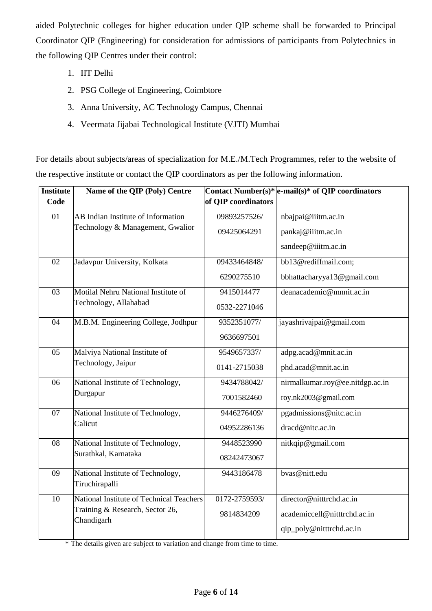aided Polytechnic colleges for higher education under QIP scheme shall be forwarded to Principal Coordinator QIP (Engineering) for consideration for admissions of participants from Polytechnics in the following QIP Centres under their control:

- 1. IIT Delhi
- 2. PSG College of Engineering, Coimbtore
- 3. Anna University, AC Technology Campus, Chennai
- 4. Veermata Jijabai Technological Institute (VJTI) Mumbai

For details about subjects/areas of specialization for M.E./M.Tech Programmes, refer to the website of the respective institute or contact the QIP coordinators as per the following information.

| <b>Institute</b> | Name of the QIP (Poly) Centre                       |                     | Contact Number(s)* $ e$ -mail(s)* of QIP coordinators |
|------------------|-----------------------------------------------------|---------------------|-------------------------------------------------------|
| Code             |                                                     | of QIP coordinators |                                                       |
| 01               | AB Indian Institute of Information                  | 09893257526/        | nbajpai@iiitm.ac.in                                   |
|                  | Technology & Management, Gwalior                    | 09425064291         | pankaj@iiitm.ac.in                                    |
|                  |                                                     |                     | sandeep@iiitm.ac.in                                   |
| 02               | Jadavpur University, Kolkata                        | 09433464848/        | bb13@rediffmail.com;                                  |
|                  |                                                     | 6290275510          | bbhattacharyya13@gmail.com                            |
| 03               | Motilal Nehru National Institute of                 | 9415014477          | deanacademic@mnnit.ac.in                              |
|                  | Technology, Allahabad                               | 0532-2271046        |                                                       |
| 04               | M.B.M. Engineering College, Jodhpur                 | 9352351077/         | jayashrivajpai@gmail.com                              |
|                  |                                                     | 9636697501          |                                                       |
| 05               | Malviya National Institute of                       | 9549657337/         | adpg.acad@mnit.ac.in                                  |
|                  | Technology, Jaipur                                  | 0141-2715038        | phd.acad@mnit.ac.in                                   |
| 06               | National Institute of Technology,                   | 9434788042/         | nirmalkumar.roy@ee.nitdgp.ac.in                       |
|                  | Durgapur                                            | 7001582460          | roy.nk2003@gmail.com                                  |
| 07               | National Institute of Technology,                   | 9446276409/         | pgadmissions@nitc.ac.in                               |
|                  | Calicut                                             | 04952286136         | dracd@nitc.ac.in                                      |
| 08               | National Institute of Technology,                   | 9448523990          | nitkqip@gmail.com                                     |
|                  | Surathkal, Karnataka                                | 08242473067         |                                                       |
| 09               | National Institute of Technology,<br>Tiruchirapalli | 9443186478          | bvas@nitt.edu                                         |
| 10               | National Institute of Technical Teachers            | 0172-2759593/       | director@nitttrchd.ac.in                              |
|                  | Training & Research, Sector 26,<br>Chandigarh       | 9814834209          | academiccell@nitttrchd.ac.in                          |
|                  |                                                     |                     | qip_poly@nitttrchd.ac.in                              |

\* The details given are subject to variation and change from time to time.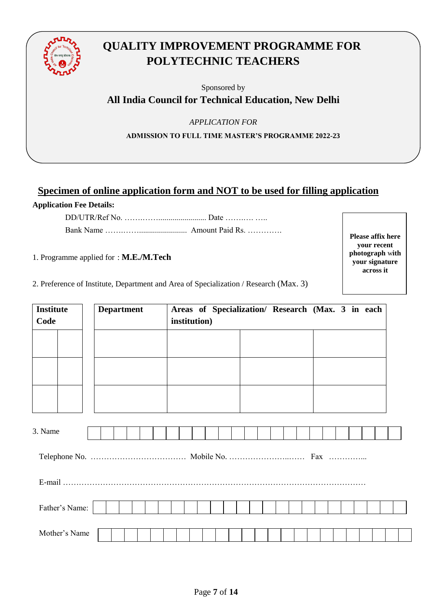

# **QUALITY IMPROVEMENT PROGRAMME FOR POLYTECHNIC TEACHERS**

Sponsored by

**All India Council for Technical Education, New Delhi**

*APPLICATION FOR* 

**ADMISSION TO FULL TIME MASTER'S PROGRAMME 2022-23**

## **Specimen of online application form and NOT to be used for filling application Application Fee Details:**

DD/UTR/Ref No. ……………………………………… Date …………………… Bank Name …….……........................ Amount Paid Rs. ………….

1. Programme applied for : **M.E./M.Tech**

**Please affix here your recent photograph** w**ith your signature across it**

2. Preference of Institute, Department and Area of Specialization / Research (Max. 3)

| <b>Institute</b><br>Code | <b>Department</b> |  |  |  |  | institution) |  |  |  |  |  |  |  | Areas of Specialization/ Research (Max. 3 in each |  |
|--------------------------|-------------------|--|--|--|--|--------------|--|--|--|--|--|--|--|---------------------------------------------------|--|
|                          |                   |  |  |  |  |              |  |  |  |  |  |  |  |                                                   |  |
|                          |                   |  |  |  |  |              |  |  |  |  |  |  |  |                                                   |  |
|                          |                   |  |  |  |  |              |  |  |  |  |  |  |  |                                                   |  |
| 3. Name                  |                   |  |  |  |  |              |  |  |  |  |  |  |  |                                                   |  |
|                          |                   |  |  |  |  |              |  |  |  |  |  |  |  |                                                   |  |
|                          |                   |  |  |  |  |              |  |  |  |  |  |  |  |                                                   |  |
| Father's Name:           |                   |  |  |  |  |              |  |  |  |  |  |  |  |                                                   |  |
| Mother's Name            |                   |  |  |  |  |              |  |  |  |  |  |  |  |                                                   |  |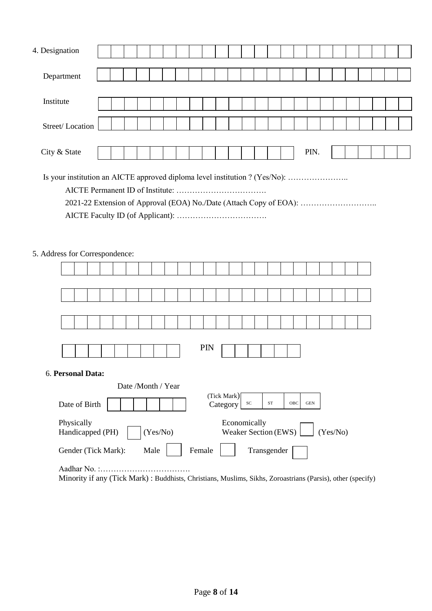| 4. Designation                                                                                                                                                                      |  |  |  |  |                    |  |  |  |  |  |  |  |  |      |  |  |  |  |
|-------------------------------------------------------------------------------------------------------------------------------------------------------------------------------------|--|--|--|--|--------------------|--|--|--|--|--|--|--|--|------|--|--|--|--|
| Department                                                                                                                                                                          |  |  |  |  |                    |  |  |  |  |  |  |  |  |      |  |  |  |  |
| Institute                                                                                                                                                                           |  |  |  |  |                    |  |  |  |  |  |  |  |  |      |  |  |  |  |
| Street/Location                                                                                                                                                                     |  |  |  |  |                    |  |  |  |  |  |  |  |  |      |  |  |  |  |
| City & State                                                                                                                                                                        |  |  |  |  |                    |  |  |  |  |  |  |  |  | PIN. |  |  |  |  |
| Is your institution an AICTE approved diploma level institution ? (Yes/No):<br>2021-22 Extension of Approval (EOA) No./Date (Attach Copy of EOA):<br>5. Address for Correspondence: |  |  |  |  |                    |  |  |  |  |  |  |  |  |      |  |  |  |  |
|                                                                                                                                                                                     |  |  |  |  |                    |  |  |  |  |  |  |  |  |      |  |  |  |  |
|                                                                                                                                                                                     |  |  |  |  |                    |  |  |  |  |  |  |  |  |      |  |  |  |  |
|                                                                                                                                                                                     |  |  |  |  |                    |  |  |  |  |  |  |  |  |      |  |  |  |  |
|                                                                                                                                                                                     |  |  |  |  |                    |  |  |  |  |  |  |  |  |      |  |  |  |  |
|                                                                                                                                                                                     |  |  |  |  |                    |  |  |  |  |  |  |  |  |      |  |  |  |  |
| PIN                                                                                                                                                                                 |  |  |  |  |                    |  |  |  |  |  |  |  |  |      |  |  |  |  |
| 6. Personal Data:                                                                                                                                                                   |  |  |  |  |                    |  |  |  |  |  |  |  |  |      |  |  |  |  |
|                                                                                                                                                                                     |  |  |  |  | Date /Month / Year |  |  |  |  |  |  |  |  |      |  |  |  |  |
| (Tick Mark)<br>$\operatorname{ST}$<br>OBC<br><b>GEN</b><br>${\rm SC}$<br>Date of Birth<br>Category                                                                                  |  |  |  |  |                    |  |  |  |  |  |  |  |  |      |  |  |  |  |

| Daw of Diffil                  |          | Cauchy1                                               |
|--------------------------------|----------|-------------------------------------------------------|
| Physically<br>Handicapped (PH) | (Yes/No) | Economically<br>Weaker Section (EWS) $\vert$ (Yes/No) |
| Gender (Tick Mark):            | Male 1   | Transgender  <br>Female                               |

Aadhar No. :……………………………. Minority if any (Tick Mark) : Buddhists, Christians, Muslims, Sikhs, Zoroastrians (Parsis), other (specify)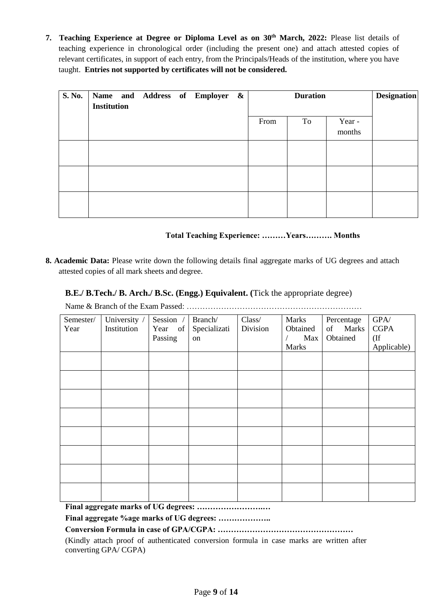**7. Teaching Experience at Degree or Diploma Level as on 30th March, 2022:** Please list details of teaching experience in chronological order (including the present one) and attach attested copies of relevant certificates, in support of each entry, from the Principals/Heads of the institution, where you have taught. **Entries not supported by certificates will not be considered.**

| S. No. | Name and Address of Employer &<br><b>Institution</b> |  |  |      | <b>Designation</b> |                  |  |
|--------|------------------------------------------------------|--|--|------|--------------------|------------------|--|
|        |                                                      |  |  | From | To                 | Year -<br>months |  |
|        |                                                      |  |  |      |                    |                  |  |
|        |                                                      |  |  |      |                    |                  |  |
|        |                                                      |  |  |      |                    |                  |  |

#### **Total Teaching Experience: ………Years………. Months**

**8. Academic Data:** Please write down the following details final aggregate marks of UG degrees and attach attested copies of all mark sheets and degree.

#### **B.E./ B.Tech./ B. Arch./ B.Sc. (Engg.) Equivalent. (**Tick the appropriate degree)

Name & Branch of the Exam Passed: …………………………………………………………

| Semester/<br>Year | University /<br>Institution | Session /<br>Year of<br>Passing | Branch/<br>Specializati<br>on | Class/<br>Division | Marks<br>Obtained<br>Max<br><b>Marks</b> | Percentage<br>of Marks<br>Obtained | $\mbox{GPA} /$<br><b>CGPA</b><br>$($ If<br>Applicable) |
|-------------------|-----------------------------|---------------------------------|-------------------------------|--------------------|------------------------------------------|------------------------------------|--------------------------------------------------------|
|                   |                             |                                 |                               |                    |                                          |                                    |                                                        |
|                   |                             |                                 |                               |                    |                                          |                                    |                                                        |
|                   |                             |                                 |                               |                    |                                          |                                    |                                                        |
|                   |                             |                                 |                               |                    |                                          |                                    |                                                        |
|                   |                             |                                 |                               |                    |                                          |                                    |                                                        |
|                   |                             |                                 |                               |                    |                                          |                                    |                                                        |
|                   |                             |                                 |                               |                    |                                          |                                    |                                                        |
|                   |                             |                                 |                               |                    |                                          |                                    |                                                        |

**Final aggregate marks of UG degrees: …………………….…** 

**Final aggregate %age marks of UG degrees: ………………..** 

## **Conversion Formula in case of GPA/CGPA: ……………………………………………**

(Kindly attach proof of authenticated conversion formula in case marks are written after converting GPA/ CGPA)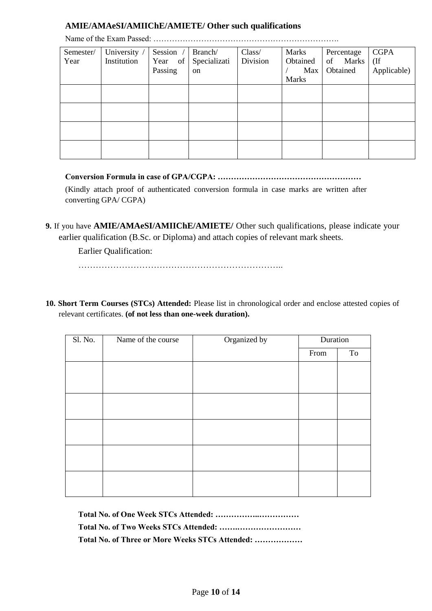#### **AMIE/AMAeSI/AMIIChE/AMIETE/ Other such qualifications**

| Semester/<br>Year | University /<br>Institution | Session<br>Year of<br>Passing | Branch/<br>Specializati<br>on | Class/<br>Division | Marks<br>Obtained<br><b>Max</b><br><b>Marks</b> | Percentage<br>of Marks<br>Obtained | <b>CGPA</b><br>$($ If<br>Applicable) |
|-------------------|-----------------------------|-------------------------------|-------------------------------|--------------------|-------------------------------------------------|------------------------------------|--------------------------------------|
|                   |                             |                               |                               |                    |                                                 |                                    |                                      |
|                   |                             |                               |                               |                    |                                                 |                                    |                                      |
|                   |                             |                               |                               |                    |                                                 |                                    |                                      |
|                   |                             |                               |                               |                    |                                                 |                                    |                                      |
|                   |                             |                               |                               |                    |                                                 |                                    |                                      |

Name of the Exam Passed: …………………………………………………………….

**Conversion Formula in case of GPA/CGPA: ………………………………………………** (Kindly attach proof of authenticated conversion formula in case marks are written after converting GPA/ CGPA)

**9.** If you have **AMIE/AMAeSI/AMIIChE/AMIETE/** Other such qualifications, please indicate your earlier qualification (B.Sc. or Diploma) and attach copies of relevant mark sheets.

Earlier Qualification:

……………………………………………………………..

**10. Short Term Courses (STCs) Attended:** Please list in chronological order and enclose attested copies of relevant certificates. **(of not less than one-week duration).**

| Sl. No. | Name of the course | Organized by | Duration |                     |
|---------|--------------------|--------------|----------|---------------------|
|         |                    |              | From     | $\operatorname{To}$ |
|         |                    |              |          |                     |
|         |                    |              |          |                     |
|         |                    |              |          |                     |
|         |                    |              |          |                     |
|         |                    |              |          |                     |
|         |                    |              |          |                     |
|         |                    |              |          |                     |
|         |                    |              |          |                     |

| Total No. of Three or More Weeks STCs Attended: |
|-------------------------------------------------|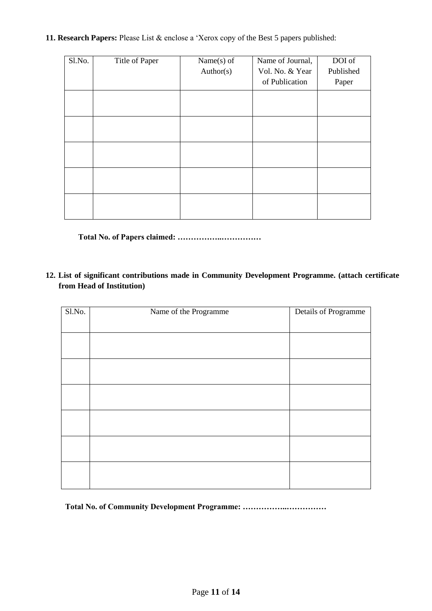**11. Research Papers:** Please List & enclose a 'Xerox copy of the Best 5 papers published:

| Sl.No. | Title of Paper | Name $(s)$ of | Name of Journal, | DOI of    |
|--------|----------------|---------------|------------------|-----------|
|        |                | Author(s)     | Vol. No. & Year  | Published |
|        |                |               | of Publication   | Paper     |
|        |                |               |                  |           |
|        |                |               |                  |           |
|        |                |               |                  |           |
|        |                |               |                  |           |
|        |                |               |                  |           |
|        |                |               |                  |           |
|        |                |               |                  |           |
|        |                |               |                  |           |
|        |                |               |                  |           |
|        |                |               |                  |           |

**Total No. of Papers claimed: ……………..……………**

**12. List of significant contributions made in Community Development Programme. (attach certificate from Head of Institution)**

| S1.No. | Name of the Programme | Details of Programme |
|--------|-----------------------|----------------------|
|        |                       |                      |
|        |                       |                      |
|        |                       |                      |
|        |                       |                      |
|        |                       |                      |
|        |                       |                      |
|        |                       |                      |
|        |                       |                      |
|        |                       |                      |
|        |                       |                      |
|        |                       |                      |
|        |                       |                      |

**Total No. of Community Development Programme: ……………..……………**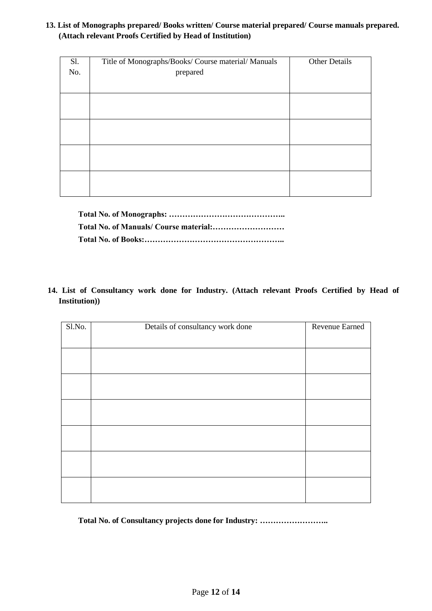#### **13. List of Monographs prepared/ Books written/ Course material prepared/ Course manuals prepared. (Attach relevant Proofs Certified by Head of Institution)**

| Sl. | Title of Monographs/Books/ Course material/ Manuals | <b>Other Details</b> |
|-----|-----------------------------------------------------|----------------------|
| No. | prepared                                            |                      |
|     |                                                     |                      |
|     |                                                     |                      |
|     |                                                     |                      |
|     |                                                     |                      |
|     |                                                     |                      |
|     |                                                     |                      |
|     |                                                     |                      |
|     |                                                     |                      |
|     |                                                     |                      |

**14. List of Consultancy work done for Industry. (Attach relevant Proofs Certified by Head of Institution))**

| S1.No. | Details of consultancy work done | Revenue Earned |
|--------|----------------------------------|----------------|
|        |                                  |                |
|        |                                  |                |
|        |                                  |                |
|        |                                  |                |
|        |                                  |                |
|        |                                  |                |
|        |                                  |                |
|        |                                  |                |
|        |                                  |                |
|        |                                  |                |
|        |                                  |                |
|        |                                  |                |
|        |                                  |                |

**Total No. of Consultancy projects done for Industry: ……………………..**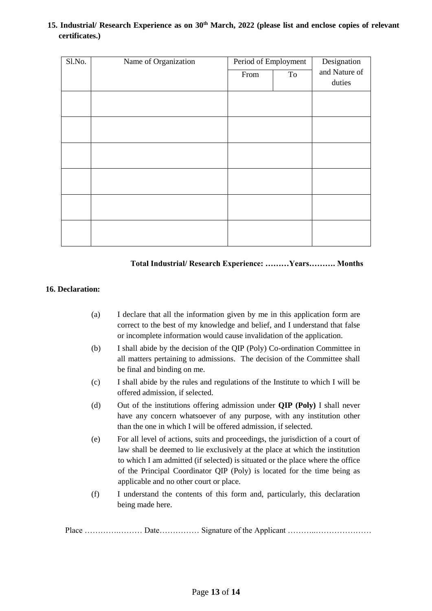#### **15. Industrial/ Research Experience as on 30th March, 2022 (please list and enclose copies of relevant certificates.)**

| Sl.No. | Name of Organization | Period of Employment |    | Designation   |
|--------|----------------------|----------------------|----|---------------|
|        |                      | From                 | To | and Nature of |
|        |                      |                      |    | duties        |
|        |                      |                      |    |               |
|        |                      |                      |    |               |
|        |                      |                      |    |               |
|        |                      |                      |    |               |
|        |                      |                      |    |               |
|        |                      |                      |    |               |
|        |                      |                      |    |               |
|        |                      |                      |    |               |
|        |                      |                      |    |               |
|        |                      |                      |    |               |
|        |                      |                      |    |               |
|        |                      |                      |    |               |

#### **Total Industrial/ Research Experience: ………Years………. Months**

#### **16. Declaration:**

- (a) I declare that all the information given by me in this application form are correct to the best of my knowledge and belief, and I understand that false or incomplete information would cause invalidation of the application.
- (b) I shall abide by the decision of the QIP (Poly) Co-ordination Committee in all matters pertaining to admissions. The decision of the Committee shall be final and binding on me.
- (c) I shall abide by the rules and regulations of the Institute to which I will be offered admission, if selected.
- (d) Out of the institutions offering admission under **QIP (Poly)** I shall never have any concern whatsoever of any purpose, with any institution other than the one in which I will be offered admission, if selected.
- (e) For all level of actions, suits and proceedings, the jurisdiction of a court of law shall be deemed to lie exclusively at the place at which the institution to which I am admitted (if selected) is situated or the place where the office of the Principal Coordinator QIP (Poly) is located for the time being as applicable and no other court or place.
- (f) I understand the contents of this form and, particularly, this declaration being made here.

Place ………….……… Date…………… Signature of the Applicant ………..…………………